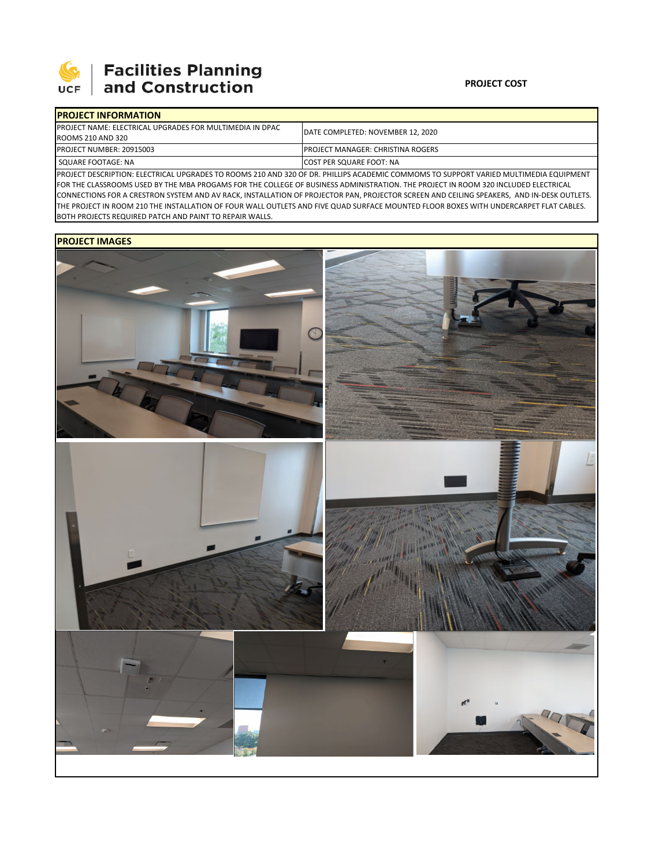

# **SEPTE AND Facilities Planning**<br>UCF and Construction

### **PROJECT COST**

| <b>IPROJECT INFORMATION</b>                                      |                                           |  |  |  |
|------------------------------------------------------------------|-------------------------------------------|--|--|--|
| <b>IPROJECT NAME: ELECTRICAL UPGRADES FOR MULTIMEDIA IN DPAC</b> | DATE COMPLETED: NOVEMBER 12, 2020         |  |  |  |
| ROOMS 210 AND 320                                                |                                           |  |  |  |
| PROJECT NUMBER: 20915003                                         | <b>IPROJECT MANAGER: CHRISTINA ROGERS</b> |  |  |  |
| SQUARE FOOTAGE: NA                                               | <b>ICOST PER SQUARE FOOT: NA</b>          |  |  |  |
|                                                                  |                                           |  |  |  |

PROJECT DESCRIPTION: ELECTRICAL UPGRADES TO ROOMS 210 AND 320 OF DR. PHILLIPS ACADEMIC COMMOMS TO SUPPORT VARIED MULTIMEDIA EQUIPMENT FOR THE CLASSROOMS USED BY THE MBA PROGAMS FOR THE COLLEGE OF BUSINESS ADMINISTRATION. THE PROJECT IN ROOM 320 INCLUDED ELECTRICAL CONNECTIONS FOR A CRESTRON SYSTEM AND AV RACK, INSTALLATION OF PROJECTOR PAN, PROJECTOR SCREEN AND CEILING SPEAKERS, AND IN‐DESK OUTLETS. THE PROJECT IN ROOM 210 THE INSTALLATION OF FOUR WALL OUTLETS AND FIVE QUAD SURFACE MOUNTED FLOOR BOXES WITH UNDERCARPET FLAT CABLES. BOTH PROJECTS REQUIRED PATCH AND PAINT TO REPAIR WALLS.

## **PROJECT IMAGES**